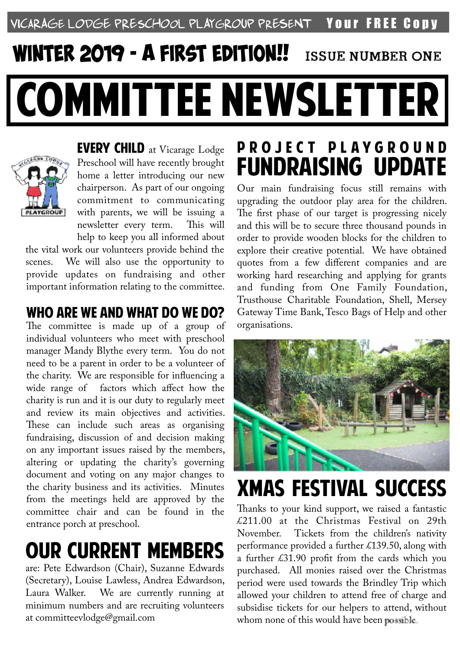#### VICARAGE LODGE PRESCHOOL PLAYGROUP PRESENT YOUr FREE CODY

# COMMITTEE NEWSLETTER *WINTER 2019* - a *first edition*!! Issue Number one



EVERY CHILD at Vicarage Lodge Preschool will have recently brought home a letter introducing our new chairperson. As part of our ongoing commitment to communicating with parents, we will be issuing a newsletter every term. This will help to keep you all informed about

the vital work our volunteers provide behind the scenes. We will also use the opportunity to provide updates on fundraising and other important information relating to the committee.

#### WHO ARE WE AND WHAT DO WE DO?

The committee is made up of a group of individual volunteers who meet with preschool manager Mandy Blythe every term. You do not need to be a parent in order to be a volunteer of the charity. We are responsible for infuencing a wide range of factors which affect how the charity is run and it is our duty to regularly meet and review its main objectives and activities. These can include such areas as organising fundraising, discussion of and decision making on any important issues raised by the members, altering or updating the charity's governing document and voting on any major changes to the charity business and its activities. Minutes from the meetings held are approved by the committee chair and can be found in the entrance porch at preschool.

### OUR CURRENT MEMBERS

are: Pete Edwardson (Chair), Suzanne Edwards (Secretary), Louise Lawless, Andrea Edwardson, Laura Walker. We are currently running at minimum numbers and are recruiting volunteers at committeevlodge@gmail.com

### P R O J E C T P L A Y G R O U N D FUNDRAISING UPDATE

Our main fundraising focus still remains with upgrading the outdoor play area for the children. The first phase of our target is progressing nicely and this will be to secure three thousand pounds in order to provide wooden blocks for the children to explore their creative potential. We have obtained quotes from a few diferent companies and are working hard researching and applying for grants and funding from One Family Foundation, Trusthouse Charitable Foundation, Shell, Mersey Gateway Time Bank, Tesco Bags of Help and other organisations.



## XMAS FESTIVAL SUCCESS

Thanks to your kind support, we raised a fantastic £211.00 at the Christmas Festival on 29th November. Tickets from the children's nativity performance provided a further £139.50, along with a further £31.90 proft from the cards which you purchased. All monies raised over the Christmas period were used towards the Brindley Trip which allowed your children to attend free of charge and subsidise tickets for our helpers to attend, without whom none of this would have been possible.